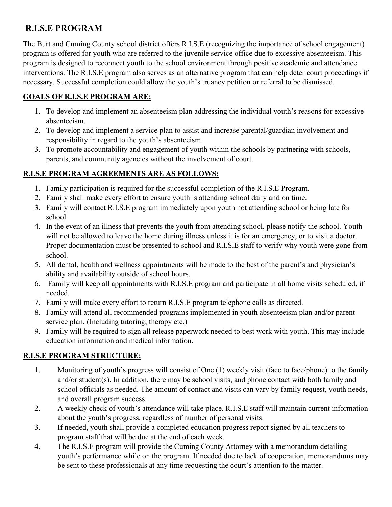# **R.I.S.E PROGRAM**

The Burt and Cuming County school district offers R.I.S.E (recognizing the importance of school engagement) program is offered for youth who are referred to the juvenile service office due to excessive absenteeism. This program is designed to reconnect youth to the school environment through positive academic and attendance interventions. The R.I.S.E program also serves as an alternative program that can help deter court proceedings if necessary. Successful completion could allow the youth's truancy petition or referral to be dismissed.

### **GOALS OF R.I.S.E PROGRAM ARE:**

- 1. To develop and implement an absenteeism plan addressing the individual youth's reasons for excessive absenteeism.
- 2. To develop and implement a service plan to assist and increase parental/guardian involvement and responsibility in regard to the youth's absenteeism.
- 3. To promote accountability and engagement of youth within the schools by partnering with schools, parents, and community agencies without the involvement of court.

#### **R.I.S.E PROGRAM AGREEMENTS ARE AS FOLLOWS:**

- 1. Family participation is required for the successful completion of the R.I.S.E Program.
- 2. Family shall make every effort to ensure youth is attending school daily and on time.
- 3. Family will contact R.I.S.E program immediately upon youth not attending school or being late for school.
- 4. In the event of an illness that prevents the youth from attending school, please notify the school. Youth will not be allowed to leave the home during illness unless it is for an emergency, or to visit a doctor. Proper documentation must be presented to school and R.I.S.E staff to verify why youth were gone from school.
- 5. All dental, health and wellness appointments will be made to the best of the parent's and physician's ability and availability outside of school hours.
- 6. Family will keep all appointments with R.I.S.E program and participate in all home visits scheduled, if needed.
- 7. Family will make every effort to return R.I.S.E program telephone calls as directed.
- 8. Family will attend all recommended programs implemented in youth absenteeism plan and/or parent service plan. (Including tutoring, therapy etc.)
- 9. Family will be required to sign all release paperwork needed to best work with youth. This may include education information and medical information.

## **R.I.S.E PROGRAM STRUCTURE:**

- 1. Monitoring of youth's progress will consist of One (1) weekly visit (face to face/phone) to the family and/or student(s). In addition, there may be school visits, and phone contact with both family and school officials as needed. The amount of contact and visits can vary by family request, youth needs, and overall program success.
- 2. A weekly check of youth's attendance will take place. R.I.S.E staff will maintain current information about the youth's progress, regardless of number of personal visits.
- 3. If needed, youth shall provide a completed education progress report signed by all teachers to program staff that will be due at the end of each week.
- 4. The R.I.S.E program will provide the Cuming County Attorney with a memorandum detailing youth's performance while on the program. If needed due to lack of cooperation, memorandums may be sent to these professionals at any time requesting the court's attention to the matter.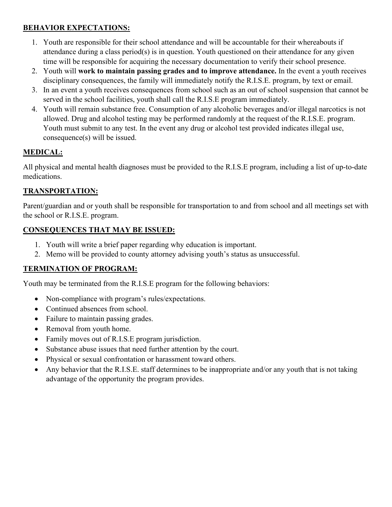#### **BEHAVIOR EXPECTATIONS:**

- 1. Youth are responsible for their school attendance and will be accountable for their whereabouts if attendance during a class period(s) is in question. Youth questioned on their attendance for any given time will be responsible for acquiring the necessary documentation to verify their school presence.
- 2. Youth will **work to maintain passing grades and to improve attendance.** In the event a youth receives disciplinary consequences, the family will immediately notify the R.I.S.E. program, by text or email.
- 3. In an event a youth receives consequences from school such as an out of school suspension that cannot be served in the school facilities, youth shall call the R.I.S.E program immediately.
- 4. Youth will remain substance free. Consumption of any alcoholic beverages and/or illegal narcotics is not allowed. Drug and alcohol testing may be performed randomly at the request of the R.I.S.E. program. Youth must submit to any test. In the event any drug or alcohol test provided indicates illegal use, consequence(s) will be issued.

# **MEDICAL:**

All physical and mental health diagnoses must be provided to the R.I.S.E program, including a list of up-to-date medications.

## **TRANSPORTATION:**

Parent/guardian and or youth shall be responsible for transportation to and from school and all meetings set with the school or R.I.S.E. program.

#### **CONSEQUENCES THAT MAY BE ISSUED:**

- 1. Youth will write a brief paper regarding why education is important.
- 2. Memo will be provided to county attorney advising youth's status as unsuccessful.

## **TERMINATION OF PROGRAM:**

Youth may be terminated from the R.I.S.E program for the following behaviors:

- Non-compliance with program's rules/expectations.
- Continued absences from school.
- Failure to maintain passing grades.
- Removal from youth home.
- Family moves out of R.I.S.E program jurisdiction.
- Substance abuse issues that need further attention by the court.
- Physical or sexual confrontation or harassment toward others.
- Any behavior that the R.I.S.E. staff determines to be inappropriate and/or any youth that is not taking advantage of the opportunity the program provides.